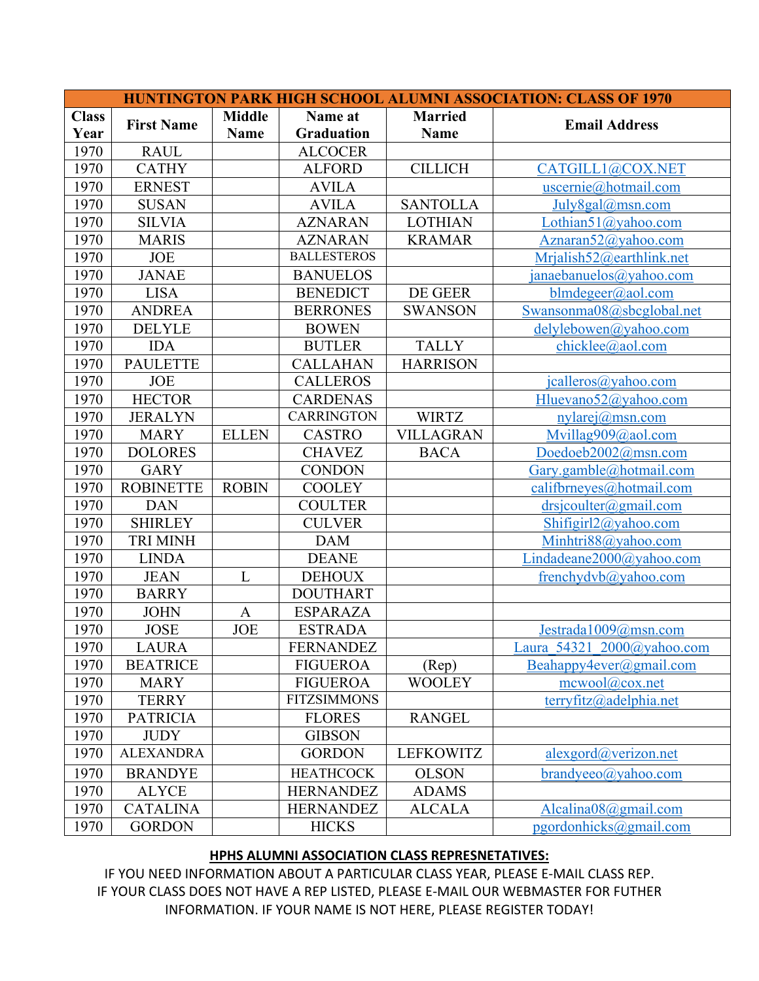| <b>HUNTINGTON PARK HIGH SCHOOL ALUMNI ASSOCIATION: CLASS OF 1970</b> |                   |               |                    |                  |                                   |  |  |
|----------------------------------------------------------------------|-------------------|---------------|--------------------|------------------|-----------------------------------|--|--|
| <b>Class</b>                                                         | <b>First Name</b> | <b>Middle</b> | Name at            | <b>Married</b>   | <b>Email Address</b>              |  |  |
| Year                                                                 |                   | <b>Name</b>   | <b>Graduation</b>  | <b>Name</b>      |                                   |  |  |
| 1970                                                                 | <b>RAUL</b>       |               | <b>ALCOCER</b>     |                  |                                   |  |  |
| 1970                                                                 | <b>CATHY</b>      |               | <b>ALFORD</b>      | <b>CILLICH</b>   | CATGILL1@COX.NET                  |  |  |
| 1970                                                                 | <b>ERNEST</b>     |               | <b>AVILA</b>       |                  | uscernie@hotmail.com              |  |  |
| 1970                                                                 | <b>SUSAN</b>      |               | <b>AVILA</b>       | <b>SANTOLLA</b>  | July8gal@msn.com                  |  |  |
| 1970                                                                 | <b>SILVIA</b>     |               | <b>AZNARAN</b>     | <b>LOTHIAN</b>   | Lothian51@yahoo.com               |  |  |
| 1970                                                                 | <b>MARIS</b>      |               | <b>AZNARAN</b>     | <b>KRAMAR</b>    | Aznaran52@yahoo.com               |  |  |
| 1970                                                                 | <b>JOE</b>        |               | <b>BALLESTEROS</b> |                  | Mrjalish52@earthlink.net          |  |  |
| 1970                                                                 | <b>JANAE</b>      |               | <b>BANUELOS</b>    |                  | janaebanuelos@yahoo.com           |  |  |
| 1970                                                                 | <b>LISA</b>       |               | <b>BENEDICT</b>    | DE GEER          | blmdegree(a/aol.com               |  |  |
| 1970                                                                 | <b>ANDREA</b>     |               | <b>BERRONES</b>    | <b>SWANSON</b>   | Swansonma08@sbcglobal.net         |  |  |
| 1970                                                                 | <b>DELYLE</b>     |               | <b>BOWEN</b>       |                  | delylebowen@yahoo.com             |  |  |
| 1970                                                                 | <b>IDA</b>        |               | <b>BUTLER</b>      | <b>TALLY</b>     | chicklee@aol.com                  |  |  |
| 1970                                                                 | <b>PAULETTE</b>   |               | <b>CALLAHAN</b>    | <b>HARRISON</b>  |                                   |  |  |
| 1970                                                                 | <b>JOE</b>        |               | <b>CALLEROS</b>    |                  | jcalleros@yahoo.com               |  |  |
| 1970                                                                 | <b>HECTOR</b>     |               | <b>CARDENAS</b>    |                  | Hluevano52@yahoo.com              |  |  |
| 1970                                                                 | <b>JERALYN</b>    |               | <b>CARRINGTON</b>  | <b>WIRTZ</b>     | $nylarej(\omega_{msn.com})$       |  |  |
| 1970                                                                 | <b>MARY</b>       | <b>ELLEN</b>  | <b>CASTRO</b>      | <b>VILLAGRAN</b> | Mvillag909@aol.com                |  |  |
| 1970                                                                 | <b>DOLORES</b>    |               | <b>CHAVEZ</b>      | <b>BACA</b>      | Doedoeb2002@msn.com               |  |  |
| 1970                                                                 | <b>GARY</b>       |               | <b>CONDON</b>      |                  | Gary.gamble@hotmail.com           |  |  |
| 1970                                                                 | <b>ROBINETTE</b>  | <b>ROBIN</b>  | <b>COOLEY</b>      |                  | califbrneyes@hotmail.com          |  |  |
| 1970                                                                 | <b>DAN</b>        |               | <b>COULTER</b>     |                  | $drsjcollter(\omega gmail.com)$   |  |  |
| 1970                                                                 | <b>SHIRLEY</b>    |               | <b>CULVER</b>      |                  | Shifigirl $2@$ yahoo.com          |  |  |
| 1970                                                                 | <b>TRI MINH</b>   |               | <b>DAM</b>         |                  | Minhtri88@yahoo.com               |  |  |
| 1970                                                                 | <b>LINDA</b>      |               | <b>DEANE</b>       |                  | Lindadeane2000@yahoo.com          |  |  |
| 1970                                                                 | <b>JEAN</b>       | L             | <b>DEHOUX</b>      |                  | frenchydvb@yahoo.com              |  |  |
| 1970                                                                 | <b>BARRY</b>      |               | <b>DOUTHART</b>    |                  |                                   |  |  |
| 1970                                                                 | <b>JOHN</b>       | $\mathbf{A}$  | <b>ESPARAZA</b>    |                  |                                   |  |  |
| 1970                                                                 | <b>JOSE</b>       | <b>JOE</b>    | <b>ESTRADA</b>     |                  | Jestrada1009@msn.com              |  |  |
| 1970                                                                 | LAURA             |               | <b>FERNANDEZ</b>   |                  | Laura 54321 2000@yahoo.com        |  |  |
| 1970                                                                 | <b>BEATRICE</b>   |               | <b>FIGUEROA</b>    | (Rep)            | Beahappy4ever@gmail.com           |  |  |
| 1970                                                                 | <b>MARY</b>       |               | <b>FIGUEROA</b>    | <b>WOOLEY</b>    | $\text{mewool}(\text{a})$ cox.net |  |  |
| 1970                                                                 | <b>TERRY</b>      |               | <b>FITZSIMMONS</b> |                  | terryfitz@adelphia.net            |  |  |
| 1970                                                                 | <b>PATRICIA</b>   |               | <b>FLORES</b>      | <b>RANGEL</b>    |                                   |  |  |
| 1970                                                                 | <b>JUDY</b>       |               | <b>GIBSON</b>      |                  |                                   |  |  |
| 1970                                                                 | <b>ALEXANDRA</b>  |               | <b>GORDON</b>      | <b>LEFKOWITZ</b> | alexgord@verizon.net              |  |  |
| 1970                                                                 | <b>BRANDYE</b>    |               | <b>HEATHCOCK</b>   | <b>OLSON</b>     | $brand$ yeeo $\omega$ yahoo.com   |  |  |
| 1970                                                                 | <b>ALYCE</b>      |               | <b>HERNANDEZ</b>   | <b>ADAMS</b>     |                                   |  |  |
| 1970                                                                 | <b>CATALINA</b>   |               | <b>HERNANDEZ</b>   | <b>ALCALA</b>    | Alcalina08@gmail.com              |  |  |
| 1970                                                                 | <b>GORDON</b>     |               | <b>HICKS</b>       |                  | pgordonhicks@gmail.com            |  |  |

## **HPHS ALUMNI ASSOCIATION CLASS REPRESNETATIVES:**

IF YOU NEED INFORMATION ABOUT A PARTICULAR CLASS YEAR, PLEASE E-MAIL CLASS REP. IF YOUR CLASS DOES NOT HAVE A REP LISTED, PLEASE E-MAIL OUR WEBMASTER FOR FUTHER INFORMATION. IF YOUR NAME IS NOT HERE, PLEASE REGISTER TODAY!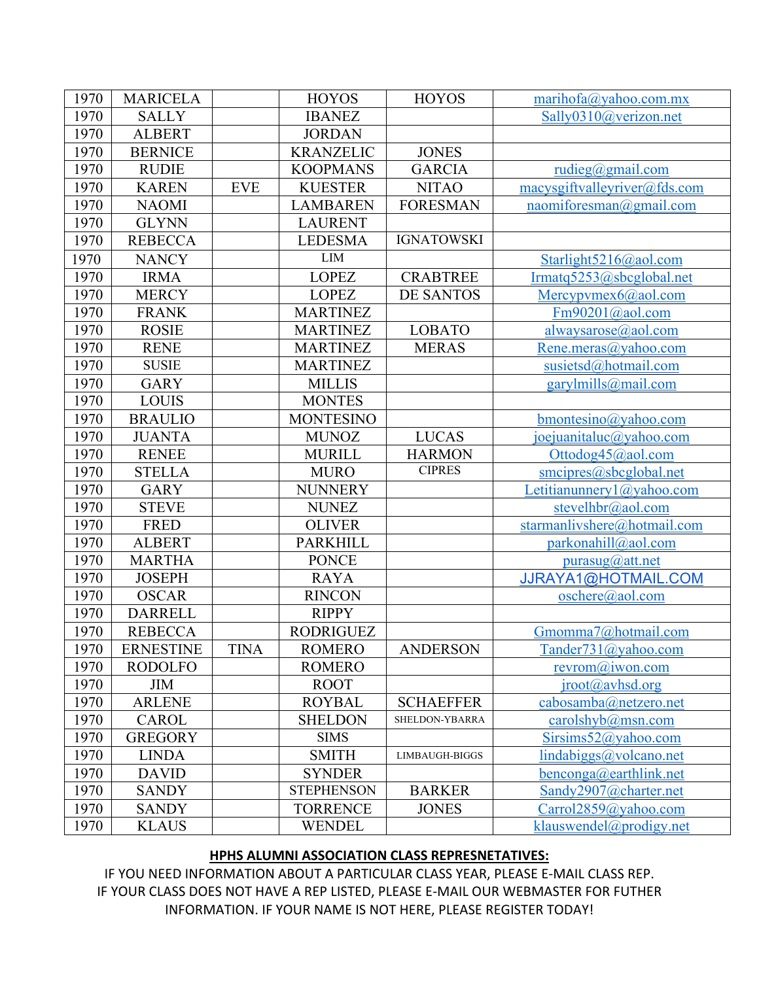| 1970 | <b>MARICELA</b>  |            | <b>HOYOS</b>      | <b>HOYOS</b>      | marihofa@yahoo.com.mx                 |
|------|------------------|------------|-------------------|-------------------|---------------------------------------|
| 1970 | <b>SALLY</b>     |            | <b>IBANEZ</b>     |                   | Sally0310@verizon.net                 |
| 1970 | <b>ALBERT</b>    |            | <b>JORDAN</b>     |                   |                                       |
| 1970 | <b>BERNICE</b>   |            | <b>KRANZELIC</b>  | <b>JONES</b>      |                                       |
| 1970 | <b>RUDIE</b>     |            | <b>KOOPMANS</b>   | <b>GARCIA</b>     | rudieg@gmail.com                      |
| 1970 | <b>KAREN</b>     | <b>EVE</b> | <b>KUESTER</b>    | <b>NITAO</b>      | macysgiftvalleyriver@fds.com          |
| 1970 | <b>NAOMI</b>     |            | <b>LAMBAREN</b>   | <b>FORESMAN</b>   | naomiforesman@gmail.com               |
| 1970 | <b>GLYNN</b>     |            | <b>LAURENT</b>    |                   |                                       |
| 1970 | <b>REBECCA</b>   |            | <b>LEDESMA</b>    | <b>IGNATOWSKI</b> |                                       |
| 1970 | <b>NANCY</b>     |            | <b>LIM</b>        |                   | Starlight5216@aol.com                 |
| 1970 | <b>IRMA</b>      |            | <b>LOPEZ</b>      | <b>CRABTREE</b>   | Irmatq5253@sbcglobal.net              |
| 1970 | <b>MERCY</b>     |            | <b>LOPEZ</b>      | <b>DE SANTOS</b>  | Mercypvmex $6$ @aol.com               |
| 1970 | <b>FRANK</b>     |            | <b>MARTINEZ</b>   |                   | $Fm90201$ ( $\partial$ aol.com        |
| 1970 | <b>ROSIE</b>     |            | <b>MARTINEZ</b>   | <b>LOBATO</b>     | alwaysarose@aol.com                   |
| 1970 | <b>RENE</b>      |            | <b>MARTINEZ</b>   | <b>MERAS</b>      | Rene.meras@yahoo.com                  |
| 1970 | <b>SUSIE</b>     |            | <b>MARTINEZ</b>   |                   | susietsd@hotmail.com                  |
| 1970 | <b>GARY</b>      |            | <b>MILLIS</b>     |                   | $\frac{gary}{mills(\omega)}$ mail.com |
| 1970 | <b>LOUIS</b>     |            | <b>MONTES</b>     |                   |                                       |
| 1970 | <b>BRAULIO</b>   |            | <b>MONTESINO</b>  |                   | $b$ montesino@yahoo.com               |
| 1970 | <b>JUANTA</b>    |            | <b>MUNOZ</b>      | <b>LUCAS</b>      | joejuanitaluc@yahoo.com               |
| 1970 | <b>RENEE</b>     |            | <b>MURILL</b>     | <b>HARMON</b>     | Ottodog45@aol.com                     |
| 1970 | <b>STELLA</b>    |            | <b>MURO</b>       | <b>CIPRES</b>     | smcipres@sbcglobal.net                |
| 1970 | <b>GARY</b>      |            | <b>NUNNERY</b>    |                   | $Let it is number (a) valo.$          |
| 1970 | <b>STEVE</b>     |            | <b>NUNEZ</b>      |                   | stevelhbr@aol.com                     |
| 1970 | <b>FRED</b>      |            | <b>OLIVER</b>     |                   | starmanlivshere@hotmail.com           |
| 1970 | <b>ALBERT</b>    |            | <b>PARKHILL</b>   |                   | parkonahill@aol.com                   |
| 1970 | <b>MARTHA</b>    |            | <b>PONCE</b>      |                   | $purasyg(a)$ att.net                  |
| 1970 | <b>JOSEPH</b>    |            | <b>RAYA</b>       |                   | JJRAYA1@HOTMAIL.COM                   |
| 1970 | <b>OSCAR</b>     |            | <b>RINCON</b>     |                   | oschere@aol.com                       |
| 1970 | <b>DARRELL</b>   |            | <b>RIPPY</b>      |                   |                                       |
| 1970 | <b>REBECCA</b>   |            | <b>RODRIGUEZ</b>  |                   | Gmomma7@hotmail.com                   |
| 1970 | <b>ERNESTINE</b> | TINA       | <b>ROMERO</b>     | <b>ANDERSON</b>   | Tander731@yahoo.com                   |
| 1970 | <b>RODOLFO</b>   |            | <b>ROMERO</b>     |                   | $revrom(a)$ iwon.com                  |
| 1970 | <b>JIM</b>       |            | <b>ROOT</b>       |                   | $iroot(a)$ avhsd.org                  |
| 1970 | <b>ARLENE</b>    |            | <b>ROYBAL</b>     | <b>SCHAEFFER</b>  | cabosamba@netzero.net                 |
| 1970 | <b>CAROL</b>     |            | <b>SHELDON</b>    | SHELDON-YBARRA    | carolshyb@mmn.com                     |
| 1970 | <b>GREGORY</b>   |            | <b>SIMS</b>       |                   | Sirsims52@yahoo.com                   |
| 1970 | <b>LINDA</b>     |            | <b>SMITH</b>      | LIMBAUGH-BIGGS    | lindabiggs@volcano.net                |
| 1970 | <b>DAVID</b>     |            | <b>SYNDER</b>     |                   | benconga@earthlink.net                |
| 1970 | <b>SANDY</b>     |            | <b>STEPHENSON</b> | <b>BARKER</b>     | Sandy2907@charter.net                 |
| 1970 | <b>SANDY</b>     |            | <b>TORRENCE</b>   | <b>JONES</b>      | Carrol2859@yahoo.com                  |
| 1970 | <b>KLAUS</b>     |            | <b>WENDEL</b>     |                   | klauswendel@prodigy.net               |

## HPHS ALUMNI ASSOCIATION CLASS REPRESNETATIVES:

IF YOU NEED INFORMATION ABOUT A PARTICULAR CLASS YEAR, PLEASE E-MAIL CLASS REP. IF YOUR CLASS DOES NOT HAVE A REP LISTED, PLEASE E-MAIL OUR WEBMASTER FOR FUTHER INFORMATION. IF YOUR NAME IS NOT HERE, PLEASE REGISTER TODAY!